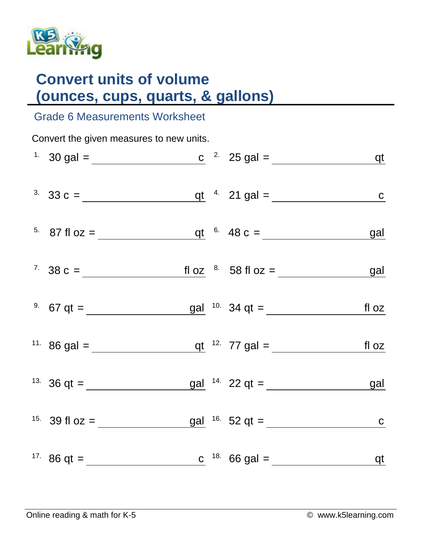

## **Convert units of volume (ounces, cups, quarts, & gallons)**

## Grade 6 Measurements Worksheet

| Convert the given measures to new units. |                                                                                                                            |  |  |  |  |  |  |  |  |
|------------------------------------------|----------------------------------------------------------------------------------------------------------------------------|--|--|--|--|--|--|--|--|
|                                          | <sup>1</sup> 30 gal = <u>c</u> <sup>2</sup> 25 gal = <u>qt</u>                                                             |  |  |  |  |  |  |  |  |
|                                          | <sup>3.</sup> 33 c = $q t$ $4.21 gal =$ <u>c</u>                                                                           |  |  |  |  |  |  |  |  |
|                                          | <sup>5.</sup> 87 fl oz = $q t$ 6. 48 c = $q d$                                                                             |  |  |  |  |  |  |  |  |
|                                          | <sup>7</sup> 38 c = $\frac{f1 \text{ oz}}{2}$ $\frac{8}{158 \text{ fl}}$ 58 fl oz = $\frac{g1}{258 \text{ fl}}$            |  |  |  |  |  |  |  |  |
|                                          | <sup>9.</sup> 67 qt = $\frac{gal}{\sqrt{10}}$ 10. 34 qt = $\frac{gal}{\sqrt{10}}$ 11. $\frac{34 \text{ qt}}{10 \text{ s}}$ |  |  |  |  |  |  |  |  |
|                                          | <sup>11</sup> 86 gal = $q t$ <sup>12</sup> 77 gal = $f l oz$                                                               |  |  |  |  |  |  |  |  |
|                                          | <sup>13.</sup> 36 qt = $\frac{gal}{22}$ qt = $\frac{gal}{22}$                                                              |  |  |  |  |  |  |  |  |
|                                          | <sup>15.</sup> 39 fl oz = $\frac{gal}{16}$ $16.52$ qt = $\frac{Cal}{16}$                                                   |  |  |  |  |  |  |  |  |
|                                          | <sup>17</sup> 86 qt = <u>c</u> <sup>18</sup> 66 gal = <u>qt</u>                                                            |  |  |  |  |  |  |  |  |